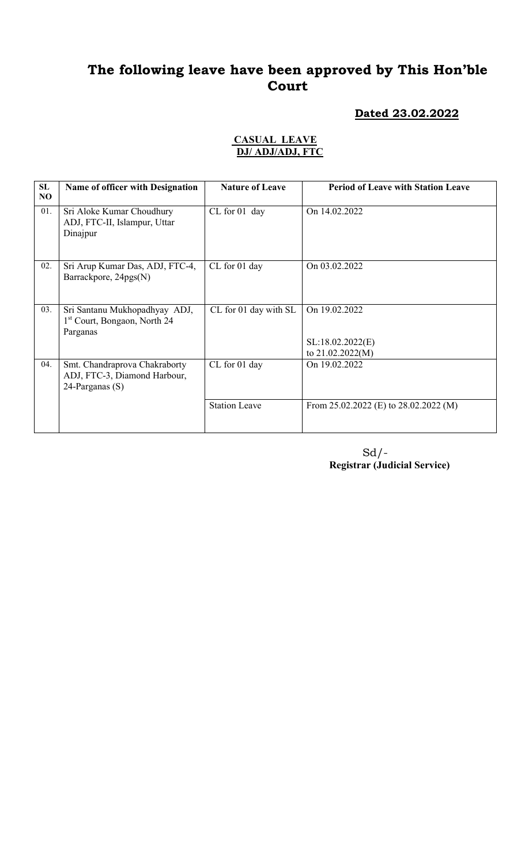#### Dated 23.02.2022

#### CASUAL LEAVE DJ/ ADJ/ADJ, FTC

| SL<br>NO | <b>Name of officer with Designation</b>                                               | <b>Nature of Leave</b> | <b>Period of Leave with Station Leave</b>             |
|----------|---------------------------------------------------------------------------------------|------------------------|-------------------------------------------------------|
| 01.      | Sri Aloke Kumar Choudhury<br>ADJ, FTC-II, Islampur, Uttar<br>Dinajpur                 | CL for 01 day          | On 14.02.2022                                         |
| 02.      | Sri Arup Kumar Das, ADJ, FTC-4,<br>Barrackpore, 24pgs(N)                              | CL for 01 day          | On 03.02.2022                                         |
| 03.      | Sri Santanu Mukhopadhyay ADJ,<br>1 <sup>st</sup> Court, Bongaon, North 24<br>Parganas | CL for 01 day with SL  | On 19.02.2022<br>SL:18.02.2022(E)<br>to 21.02.2022(M) |
| 04.      | Smt. Chandraprova Chakraborty<br>ADJ, FTC-3, Diamond Harbour,<br>24-Parganas (S)      | CL for 01 day          | On 19.02.2022                                         |
|          |                                                                                       | <b>Station Leave</b>   | From $25.02.2022$ (E) to $28.02.2022$ (M)             |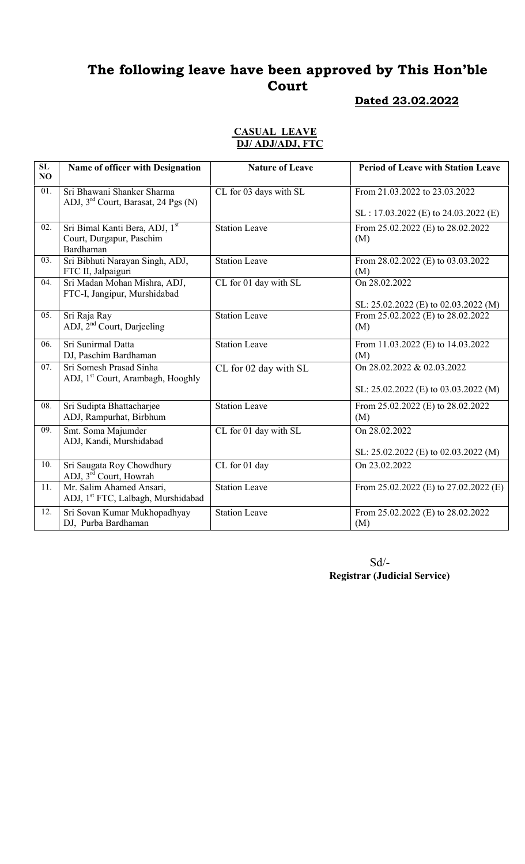## Dated 23.02.2022

#### CASUAL LEAVE DJ/ ADJ/ADJ, FTC

| SL<br>NO | Name of officer with Designation                                              | <b>Nature of Leave</b> | <b>Period of Leave with Station Leave</b>             |
|----------|-------------------------------------------------------------------------------|------------------------|-------------------------------------------------------|
| 01.      | Sri Bhawani Shanker Sharma<br>ADJ, 3 <sup>rd</sup> Court, Barasat, 24 Pgs (N) | CL for 03 days with SL | From 21.03.2022 to 23.03.2022                         |
|          |                                                                               |                        | $SL: 17.03.2022$ (E) to 24.03.2022 (E)                |
| 02.      | Sri Bimal Kanti Bera, ADJ, 1st<br>Court, Durgapur, Paschim<br>Bardhaman       | <b>Station Leave</b>   | From 25.02.2022 (E) to 28.02.2022<br>(M)              |
| 03.      | Sri Bibhuti Narayan Singh, ADJ,<br>FTC II, Jalpaiguri                         | Station Leave          | From 28.02.2022 (E) to 03.03.2022<br>(M)              |
| 04.      | Sri Madan Mohan Mishra, ADJ,<br>FTC-I, Jangipur, Murshidabad                  | CL for 01 day with SL  | On 28.02.2022<br>SL: 25.02.2022 (E) to 02.03.2022 (M) |
| 05.      | Sri Raja Ray<br>ADJ, 2 <sup>nd</sup> Court, Darjeeling                        | <b>Station Leave</b>   | From 25.02.2022 (E) to 28.02.2022<br>(M)              |
| 06.      | Sri Sunirmal Datta<br>DJ, Paschim Bardhaman                                   | <b>Station Leave</b>   | From 11.03.2022 (E) to 14.03.2022<br>(M)              |
| 07.      | Sri Somesh Prasad Sinha<br>ADJ, 1 <sup>st</sup> Court, Arambagh, Hooghly      | CL for 02 day with SL  | On 28.02.2022 & 02.03.2022                            |
|          |                                                                               |                        | SL: 25.02.2022 (E) to 03.03.2022 (M)                  |
| 08.      | Sri Sudipta Bhattacharjee<br>ADJ, Rampurhat, Birbhum                          | <b>Station Leave</b>   | From 25.02.2022 (E) to 28.02.2022<br>(M)              |
| 09.      | Smt. Soma Majumder<br>ADJ, Kandi, Murshidabad                                 | CL for 01 day with SL  | On 28.02.2022                                         |
|          |                                                                               |                        | SL: $25.02.2022$ (E) to $02.03.2022$ (M)              |
| 10.      | Sri Saugata Roy Chowdhury<br>ADJ, 3 <sup>rd</sup> Court, Howrah               | CL for 01 day          | On 23.02.2022                                         |
| 11.      | Mr. Salim Ahamed Ansari,<br>ADJ, 1 <sup>st</sup> FTC, Lalbagh, Murshidabad    | <b>Station Leave</b>   | From 25.02.2022 (E) to 27.02.2022 (E)                 |
| 12.      | Sri Sovan Kumar Mukhopadhyay<br>DJ, Purba Bardhaman                           | <b>Station Leave</b>   | From 25.02.2022 (E) to 28.02.2022<br>(M)              |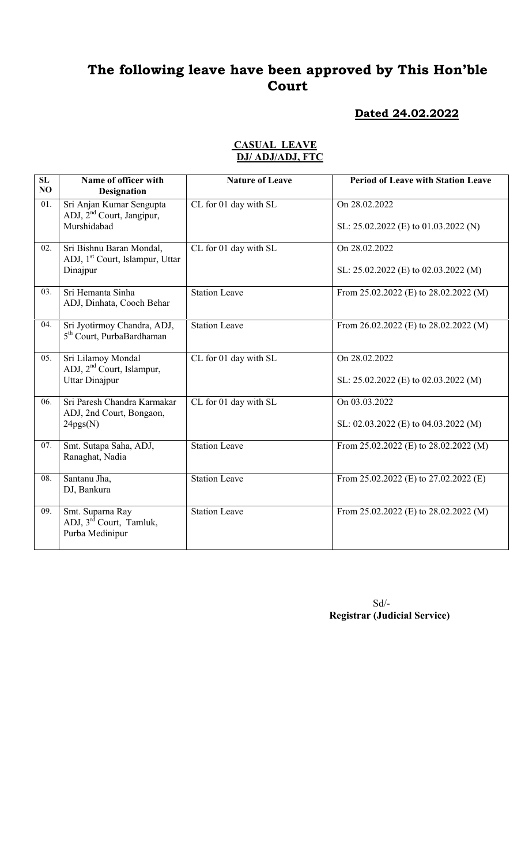#### Dated 24.02.2022

| SL<br>NO.         | Name of officer with<br><b>Designation</b>                                           | <b>Nature of Leave</b> | <b>Period of Leave with Station Leave</b>                 |
|-------------------|--------------------------------------------------------------------------------------|------------------------|-----------------------------------------------------------|
| 01.               | Sri Anjan Kumar Sengupta<br>ADJ, 2 <sup>nd</sup> Court, Jangipur,<br>Murshidabad     | CL for 01 day with SL  | On 28.02.2022<br>SL: $25.02.2022$ (E) to $01.03.2022$ (N) |
| $\overline{02}$ . | Sri Bishnu Baran Mondal,<br>ADJ, 1 <sup>st</sup> Court, Islampur, Uttar<br>Dinajpur  | CL for 01 day with SL  | On 28.02.2022<br>SL: $25.02.2022$ (E) to 02.03.2022 (M)   |
| 03.               | Sri Hemanta Sinha<br>ADJ, Dinhata, Cooch Behar                                       | <b>Station Leave</b>   | From $25.02.2022$ (E) to $28.02.2022$ (M)                 |
| 04.               | Sri Jyotirmoy Chandra, ADJ,<br>5 <sup>th</sup> Court, PurbaBardhaman                 | <b>Station Leave</b>   | From 26.02.2022 (E) to 28.02.2022 (M)                     |
| 05.               | Sri Lilamoy Mondal<br>ADJ, 2 <sup>nd</sup> Court, Islampur,<br><b>Uttar Dinajpur</b> | CL for 01 day with SL  | On 28.02.2022<br>SL: $25.02.2022$ (E) to 02.03.2022 (M)   |
| 06.               | Sri Paresh Chandra Karmakar<br>ADJ, 2nd Court, Bongaon,<br>24pgs(N)                  | CL for 01 day with SL  | On 03.03.2022<br>SL: $02.03.2022$ (E) to $04.03.2022$ (M) |
| 07.               | Smt. Sutapa Saha, ADJ,<br>Ranaghat, Nadia                                            | <b>Station Leave</b>   | From 25.02.2022 (E) to 28.02.2022 (M)                     |
| 08.               | Santanu Jha,<br>DJ, Bankura                                                          | <b>Station Leave</b>   | From $25.02.2022$ (E) to $27.02.2022$ (E)                 |
| 09.               | Smt. Suparna Ray<br>ADJ, 3 <sup>rd</sup> Court, Tamluk,<br>Purba Medinipur           | <b>Station Leave</b>   | From 25.02.2022 (E) to 28.02.2022 (M)                     |

#### CASUAL LEAVE DJ/ ADJ/ADJ, FTC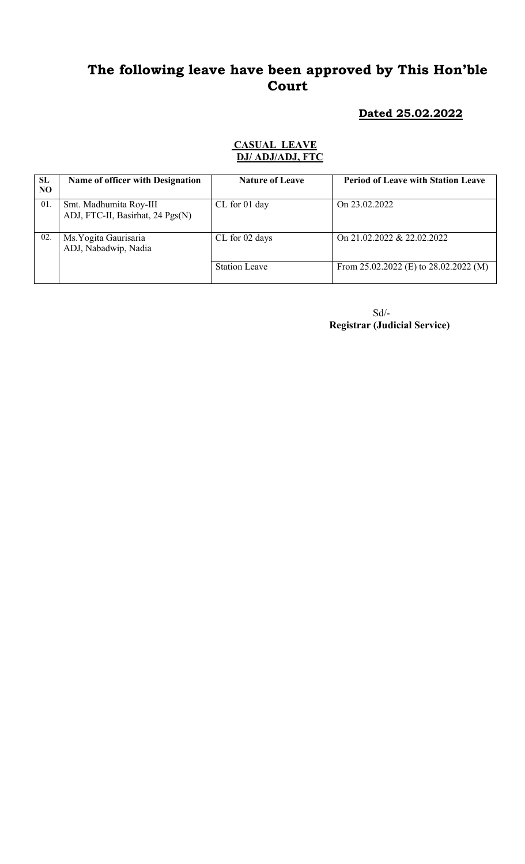Dated 25.02.2022

#### CASUAL LEAVE DJ/ ADJ/ADJ, FTC

| SL<br>NO | <b>Name of officer with Designation</b>                    | <b>Nature of Leave</b> | <b>Period of Leave with Station Leave</b> |
|----------|------------------------------------------------------------|------------------------|-------------------------------------------|
| 01       | Smt. Madhumita Roy-III<br>ADJ, FTC-II, Basirhat, 24 Pgs(N) | CL for 01 day          | On 23.02.2022                             |
| 02.      | Ms. Yogita Gaurisaria<br>ADJ, Nabadwip, Nadia              | CL for 02 days         | On 21.02.2022 & 22.02.2022                |
|          |                                                            | <b>Station Leave</b>   | From $25.02.2022$ (E) to $28.02.2022$ (M) |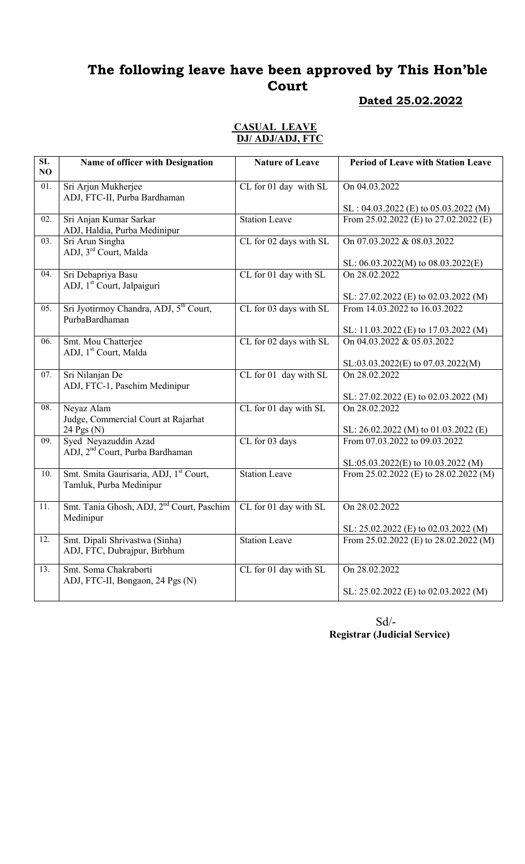#### Dated 25.02.2022

#### CASUAL LEAVE DJ/ ADJ/ADJ, FTC

| $\overline{\text{SL}}$<br>NO | Name of officer with Designation                                     | <b>Nature of Leave</b> | <b>Period of Leave with Station Leave</b> |
|------------------------------|----------------------------------------------------------------------|------------------------|-------------------------------------------|
| 01.                          | Sri Arjun Mukherjee<br>ADJ, FTC-II, Purba Bardhaman                  | CL for 01 day with SL  | On 04.03.2022                             |
|                              |                                                                      |                        | $SL : 04.03.2022$ (E) to 05.03.2022 (M)   |
| 02.                          | Sri Anjan Kumar Sarkar<br>ADJ, Haldia, Purba Medinipur               | <b>Station Leave</b>   | From 25.02.2022 (E) to 27.02.2022 (E)     |
| 03.                          | Sri Arun Singha<br>ADJ, 3 <sup>rd</sup> Court, Malda                 | CL for 02 days with SL | On 07.03.2022 & 08.03.2022                |
|                              |                                                                      |                        | SL: $06.03.2022(M)$ to $08.03.2022(E)$    |
| 04.                          | Sri Debapriya Basu<br>ADJ, 1 <sup>st</sup> Court, Jalpaiguri         | CL for 01 day with SL  | On 28,02,2022                             |
|                              |                                                                      |                        | SL: 27.02.2022 (E) to 02.03.2022 (M)      |
| 05.                          | Sri Jyotirmoy Chandra, ADJ, 5 <sup>th</sup> Court,<br>PurbaBardhaman | CL for 03 days with SL | From 14.03.2022 to 16.03.2022             |
|                              |                                                                      |                        | SL: 11.03.2022 (E) to 17.03.2022 (M)      |
| 06.                          | Smt. Mou Chatterjee<br>ADJ, 1 <sup>st</sup> Court, Malda             | CL for 02 days with SL | On 04.03.2022 & 05.03.2022                |
|                              |                                                                      |                        | SL:03.03.2022(E) to 07.03.2022(M)         |
| 07.                          | Sri Nilanjan De<br>ADJ, FTC-1, Paschim Medinipur                     | CL for 01 day with SL  | On 28.02.2022                             |
|                              |                                                                      |                        | SL: 27.02.2022 (E) to 02.03.2022 (M)      |
| 08.                          | Neyaz Alam<br>Judge, Commercial Court at Rajarhat                    | CL for 01 day with SL  | On 28.02.2022                             |
|                              | 24 Pgs (N)                                                           |                        | SL: 26.02.2022 (M) to 01.03.2022 (E)      |
| 09.                          | Syed Neyazuddin Azad<br>ADJ, 2 <sup>nd</sup> Court, Purba Bardhaman  | CL for 03 days         | From 07.03.2022 to 09.03.2022             |
|                              |                                                                      |                        | SL:05.03.2022(E) to 10.03.2022 (M)        |
| 10.                          | Smt. Smita Gaurisaria, ADJ, 1st Court,<br>Tamluk, Purba Medinipur    | <b>Station Leave</b>   | From $25.02.2022$ (E) to $28.02.2022$ (M) |
| 11.                          | Smt. Tania Ghosh, ADJ, 2 <sup>nd</sup> Court, Paschim<br>Medinipur   | CL for 01 day with SL  | On 28.02.2022                             |
|                              |                                                                      |                        | SL: $25.02.2022$ (E) to $02.03.2022$ (M)  |
| $\overline{12}$ .            | Smt. Dipali Shrivastwa (Sinha)<br>ADJ, FTC, Dubrajpur, Birbhum       | <b>Station Leave</b>   | From 25.02.2022 (E) to 28.02.2022 (M)     |
| 13.                          | Smt. Soma Chakraborti<br>ADJ, FTC-II, Bongaon, 24 Pgs (N)            | CL for 01 day with SL  | On 28.02.2022                             |
|                              |                                                                      |                        | SL: 25.02.2022 (E) to 02.03.2022 (M)      |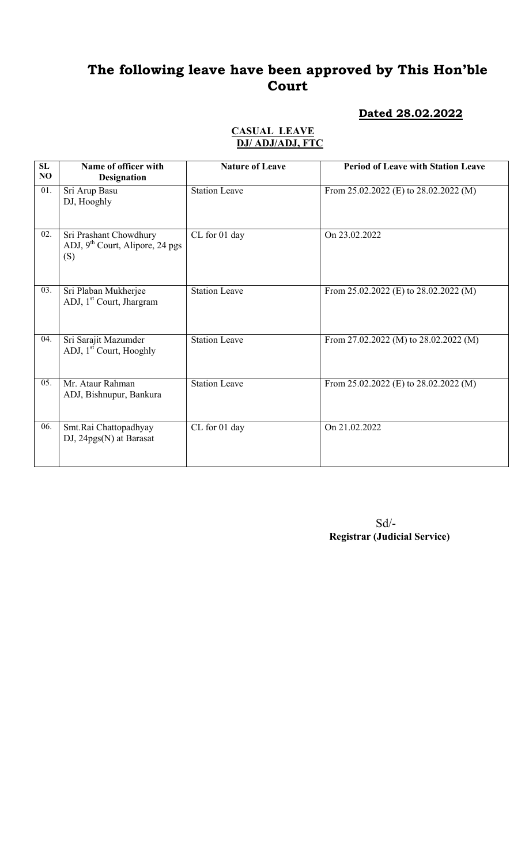### Dated 28.02.2022

| SL<br>N <sub>O</sub> | Name of officer with<br><b>Designation</b>                                   | <b>Nature of Leave</b> | <b>Period of Leave with Station Leave</b> |
|----------------------|------------------------------------------------------------------------------|------------------------|-------------------------------------------|
| 01.                  | Sri Arup Basu<br>DJ, Hooghly                                                 | <b>Station Leave</b>   | From 25.02.2022 (E) to 28.02.2022 (M)     |
| 02.                  | Sri Prashant Chowdhury<br>ADJ, 9 <sup>th</sup> Court, Alipore, 24 pgs<br>(S) | CL for 01 day          | On 23.02.2022                             |
| 03.                  | Sri Plaban Mukherjee<br>ADJ, 1 <sup>st</sup> Court, Jhargram                 | <b>Station Leave</b>   | From $25.02.2022$ (E) to $28.02.2022$ (M) |
| 04.                  | Sri Sarajit Mazumder<br>ADJ, 1 <sup>st</sup> Court, Hooghly                  | <b>Station Leave</b>   | From 27.02.2022 (M) to $28.02.2022$ (M)   |
| 05.                  | Mr. Ataur Rahman<br>ADJ, Bishnupur, Bankura                                  | <b>Station Leave</b>   | From $25.02.2022$ (E) to $28.02.2022$ (M) |
| 06.                  | Smt.Rai Chattopadhyay<br>$DJ$ , 24 $pgs(N)$ at Barasat                       | CL for 01 day          | On 21.02.2022                             |

#### CASUAL LEAVE DJ/ ADJ/ADJ, FTC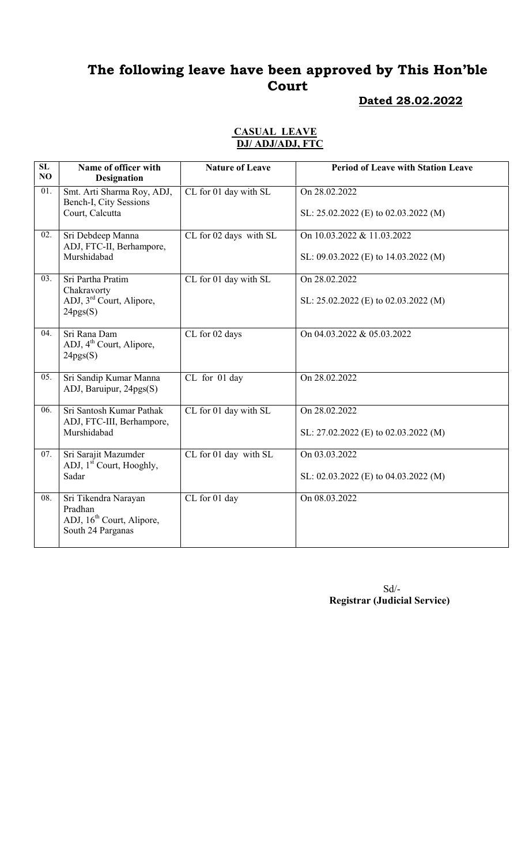### Dated 28.02.2022

#### CASUAL LEAVE DJ/ ADJ/ADJ, FTC

| SL<br>NO | Name of officer with<br><b>Designation</b>                                                    | <b>Nature of Leave</b>     | <b>Period of Leave with Station Leave</b>                          |
|----------|-----------------------------------------------------------------------------------------------|----------------------------|--------------------------------------------------------------------|
| 01.      | Smt. Arti Sharma Roy, ADJ,<br>Bench-I, City Sessions<br>Court, Calcutta                       | CL for 01 day with SL      | On 28.02.2022<br>SL: $25.02.2022$ (E) to $02.03.2022$ (M)          |
| 02.      | Sri Debdeep Manna<br>ADJ, FTC-II, Berhampore,<br>Murshidabad                                  | $CL$ for $02$ days with SL | On 10.03.2022 & 11.03.2022<br>SL: 09.03.2022 (E) to 14.03.2022 (M) |
| 03.      | Sri Partha Pratim<br>Chakravorty<br>ADJ, 3 <sup>rd</sup> Court, Alipore,<br>24pgs(S)          | CL for 01 day with SL      | On 28.02.2022<br>SL: 25.02.2022 (E) to 02.03.2022 (M)              |
| 04.      | Sri Rana Dam<br>ADJ, 4 <sup>th</sup> Court, Alipore,<br>24pgs(S)                              | CL for 02 days             | On 04.03.2022 & 05.03.2022                                         |
| 05.      | Sri Sandip Kumar Manna<br>ADJ, Baruipur, 24pgs(S)                                             | CL for 01 day              | On 28.02.2022                                                      |
| 06.      | Sri Santosh Kumar Pathak<br>ADJ, FTC-III, Berhampore,<br>Murshidabad                          | CL for 01 day with SL      | On 28.02.2022<br>SL: $27.02.2022$ (E) to $02.03.2022$ (M)          |
| 07.      | Sri Sarajit Mazumder<br>ADJ, 1 <sup>st</sup> Court, Hooghly,<br>Sadar                         | CL for 01 day with SL      | On 03.03.2022<br>SL: 02.03.2022 (E) to 04.03.2022 (M)              |
| 08.      | Sri Tikendra Narayan<br>Pradhan<br>ADJ, 16 <sup>th</sup> Court, Alipore,<br>South 24 Parganas | CL for 01 day              | On 08.03.2022                                                      |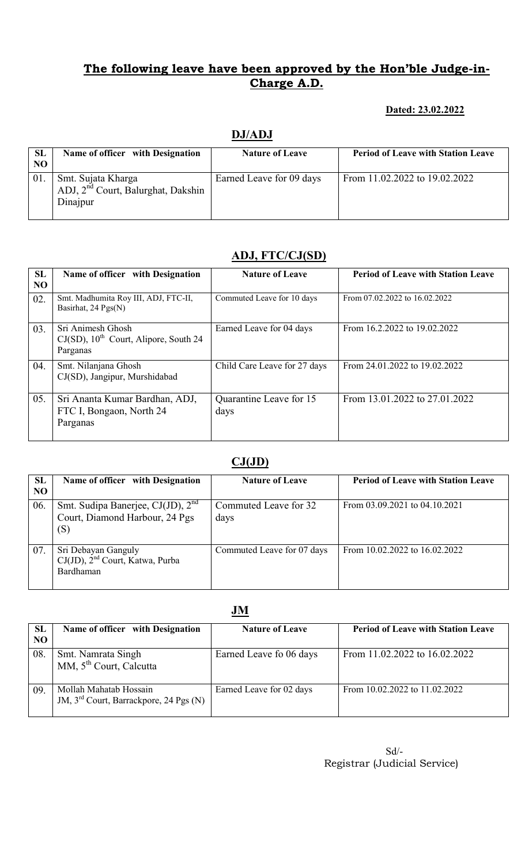### Dated: 23.02.2022

## DJ/ADJ

| <b>SL</b><br>NO | Name of officer with Designation                                                 | <b>Nature of Leave</b>   | <b>Period of Leave with Station Leave</b> |
|-----------------|----------------------------------------------------------------------------------|--------------------------|-------------------------------------------|
| 01.             | Smt. Sujata Kharga<br>ADJ, 2 <sup>nd</sup> Court, Balurghat, Dakshin<br>Dinajpur | Earned Leave for 09 days | From 11.02.2022 to 19.02.2022             |

# ADJ, FTC/CJ(SD)

| SL<br>N <sub>O</sub> | Name of officer with Designation                                                      | <b>Nature of Leave</b>          | <b>Period of Leave with Station Leave</b> |
|----------------------|---------------------------------------------------------------------------------------|---------------------------------|-------------------------------------------|
| 02.                  | Smt. Madhumita Roy III, ADJ, FTC-II,<br>Basirhat, 24 Pgs(N)                           | Commuted Leave for 10 days      | From 07.02.2022 to 16.02.2022             |
| 03.                  | Sri Animesh Ghosh<br>$CJ(SD)$ , 10 <sup>th</sup> Court, Alipore, South 24<br>Parganas | Earned Leave for 04 days        | From 16.2.2022 to 19.02.2022              |
| 04.                  | Smt. Nilanjana Ghosh<br>CJ(SD), Jangipur, Murshidabad                                 | Child Care Leave for 27 days    | From 24.01.2022 to 19.02.2022             |
| 05.                  | Sri Ananta Kumar Bardhan, ADJ,<br>FTC I, Bongaon, North 24<br>Parganas                | Quarantine Leave for 15<br>days | From 13.01.2022 to 27.01.2022             |

# $CJ(JD)$

| <b>SL</b><br>N <sub>O</sub> | Name of officer with Designation                                                       | <b>Nature of Leave</b>        | <b>Period of Leave with Station Leave</b> |  |  |
|-----------------------------|----------------------------------------------------------------------------------------|-------------------------------|-------------------------------------------|--|--|
| 06.                         | Smt. Sudipa Banerjee, CJ(JD), 2 <sup>nd</sup><br>Court, Diamond Harbour, 24 Pgs<br>(S) | Commuted Leave for 32<br>days | From 03.09.2021 to 04.10.2021             |  |  |
| 07.                         | Sri Debayan Ganguly<br>CJ(JD), 2 <sup>nd</sup> Court, Katwa, Purba<br><b>Bardhaman</b> | Commuted Leave for 07 days    | From 10.02.2022 to 16.02.2022             |  |  |

#### JM

| <b>SL</b><br>NO | Name of officer with Designation                                             | <b>Nature of Leave</b>   | <b>Period of Leave with Station Leave</b> |
|-----------------|------------------------------------------------------------------------------|--------------------------|-------------------------------------------|
| 08              | Smt. Namrata Singh<br>MM, 5 <sup>th</sup> Court, Calcutta                    | Earned Leave fo 06 days  | From 11.02.2022 to 16.02.2022             |
| 09.             | Mollah Mahatab Hossain<br>JM, 3 <sup>rd</sup> Court, Barrackpore, 24 Pgs (N) | Earned Leave for 02 days | From 10.02.2022 to 11.02.2022             |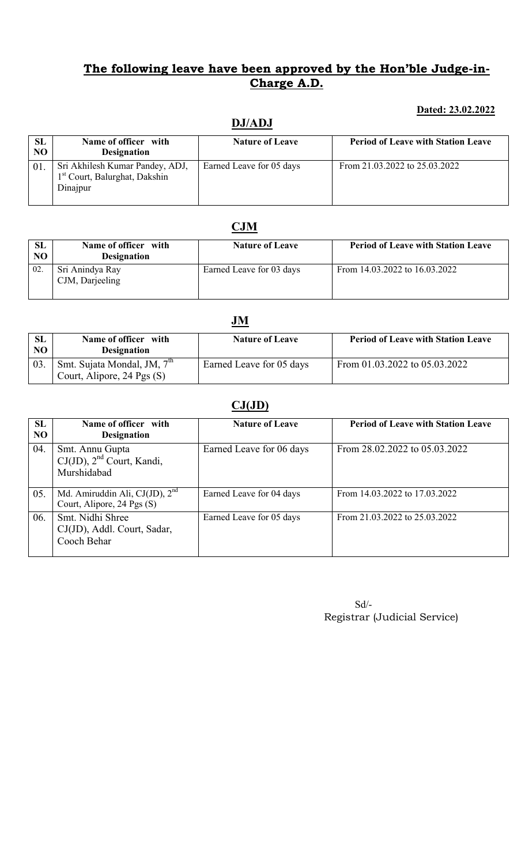#### Dated: 23.02.2022

| SL             | Name of officer with                                                                     | <b>Nature of Leave</b>   | <b>Period of Leave with Station Leave</b> |
|----------------|------------------------------------------------------------------------------------------|--------------------------|-------------------------------------------|
| N <sub>O</sub> | <b>Designation</b>                                                                       |                          |                                           |
| 01.            | Sri Akhilesh Kumar Pandey, ADJ,<br>1 <sup>st</sup> Court, Balurghat, Dakshin<br>Dinajpur | Earned Leave for 05 days | From 21.03.2022 to 25.03.2022             |

# **CJM**

| <b>SL</b><br>N <sub>O</sub> | Name of officer with<br><b>Designation</b> | <b>Nature of Leave</b>   | <b>Period of Leave with Station Leave</b> |
|-----------------------------|--------------------------------------------|--------------------------|-------------------------------------------|
| 02                          | Sri Anindya Ray<br>CJM, Darjeeling         | Earned Leave for 03 days | From 14.03.2022 to 16.03.2022             |

|                             |                                                                         | JM                       |                                           |
|-----------------------------|-------------------------------------------------------------------------|--------------------------|-------------------------------------------|
| <b>SL</b><br>N <sub>O</sub> | Name of officer with<br><b>Designation</b>                              | <b>Nature of Leave</b>   | <b>Period of Leave with Station Leave</b> |
| 03.                         | Smt. Sujata Mondal, JM, 7 <sup>th</sup><br>Court, Alipore, 24 Pgs $(S)$ | Earned Leave for 05 days | From $01.03.2022$ to $05.03.2022$         |

# $CJ(JD)$

| SL<br>NO | Name of officer with<br><b>Designation</b>                       | <b>Nature of Leave</b>   | <b>Period of Leave with Station Leave</b> |
|----------|------------------------------------------------------------------|--------------------------|-------------------------------------------|
| 04.      | Smt. Annu Gupta<br>$CJ(JD)$ , $2nd$ Court, Kandi,<br>Murshidabad | Earned Leave for 06 days | From 28.02.2022 to 05.03.2022             |
| 05.      | Md. Amiruddin Ali, CJ(JD), $2nd$<br>Court, Alipore, 24 Pgs (S)   | Earned Leave for 04 days | From 14.03.2022 to 17.03.2022             |
| 06.      | Smt. Nidhi Shree<br>CJ(JD), Addl. Court, Sadar,<br>Cooch Behar   | Earned Leave for 05 days | From 21.03.2022 to 25.03.2022             |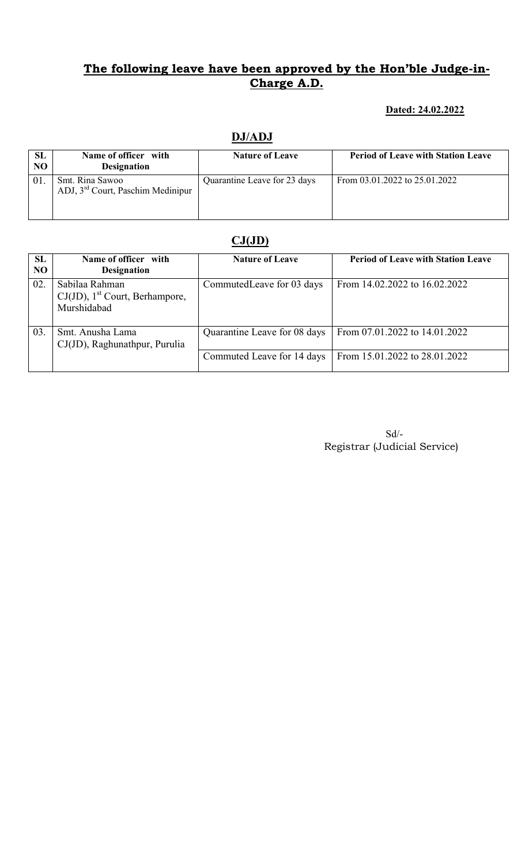#### Dated: 24.02.2022

| <b>SL</b> | Name of officer with                                             | <b>Nature of Leave</b>       | <b>Period of Leave with Station Leave</b> |
|-----------|------------------------------------------------------------------|------------------------------|-------------------------------------------|
| NO        | <b>Designation</b>                                               |                              |                                           |
| 01        | Smt. Rina Sawoo<br>ADJ, 3 <sup>rd</sup> Court, Paschim Medinipur | Quarantine Leave for 23 days | From 03.01.2022 to 25.01.2022             |

### DJ/ADJ

### $CJ(JD)$

| SL<br>N <sub>O</sub> | Name of officer with<br><b>Designation</b>                                     | <b>Nature of Leave</b>       | <b>Period of Leave with Station Leave</b> |
|----------------------|--------------------------------------------------------------------------------|------------------------------|-------------------------------------------|
| 02.                  | Sabilaa Rahman<br>$CJ(JD)$ , 1 <sup>st</sup> Court, Berhampore,<br>Murshidabad | Commuted Leave for 03 days   | From 14.02.2022 to 16.02.2022             |
| 03.                  | Smt. Anusha Lama<br>CJ(JD), Raghunathpur, Purulia                              | Quarantine Leave for 08 days | From 07.01.2022 to 14.01.2022             |
|                      |                                                                                | Commuted Leave for 14 days   | From 15.01.2022 to 28.01.2022             |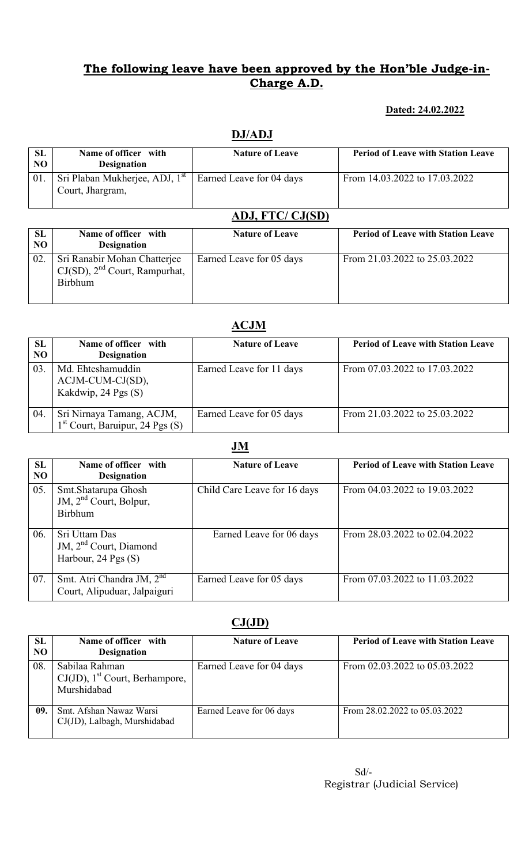### Dated: 24.02.2022

## DJ/ADJ

| <b>SL</b><br>N <sub>O</sub> | Name of officer with<br><b>Designation</b>                     | <b>Nature of Leave</b>   | <b>Period of Leave with Station Leave</b> |  |  |
|-----------------------------|----------------------------------------------------------------|--------------------------|-------------------------------------------|--|--|
| 01.                         | Sri Plaban Mukherjee, ADJ, 1 <sup>st</sup><br>Court, Jhargram, | Earned Leave for 04 days | From 14.03.2022 to 17.03.2022             |  |  |
|                             | ADJ, FTC/ CJ(SD)                                               |                          |                                           |  |  |

| SL  | Name of officer with                                                                 | <b>Nature of Leave</b>   | <b>Period of Leave with Station Leave</b> |
|-----|--------------------------------------------------------------------------------------|--------------------------|-------------------------------------------|
| NO  | <b>Designation</b>                                                                   |                          |                                           |
| 02. | Sri Ranabir Mohan Chatterjee<br>$CJ(SD)$ , $2nd$ Court, Rampurhat,<br><b>Birbhum</b> | Earned Leave for 05 days | From 21.03.2022 to 25.03.2022             |

# ACJM

| SL<br>N <sub>O</sub> | Name of officer with<br><b>Designation</b>                      | <b>Nature of Leave</b>   | <b>Period of Leave with Station Leave</b> |
|----------------------|-----------------------------------------------------------------|--------------------------|-------------------------------------------|
| 03.                  | Md. Ehteshamuddin<br>$ACJM-CUM-CJ(SD)$ ,<br>Kakdwip, 24 Pgs (S) | Earned Leave for 11 days | From 07.03.2022 to 17.03.2022             |
| 04.                  | Sri Nirnaya Tamang, ACJM,<br>$1st$ Court, Baruipur, 24 Pgs (S)  | Earned Leave for 05 days | From 21.03.2022 to 25.03.2022             |

#### JM

| SL<br>NO | Name of officer with<br><b>Designation</b>                                     | <b>Nature of Leave</b>       | <b>Period of Leave with Station Leave</b> |  |
|----------|--------------------------------------------------------------------------------|------------------------------|-------------------------------------------|--|
| 05.      | Smt. Shatarupa Ghosh<br>JM, 2 <sup>nd</sup> Court, Bolpur,<br><b>Birbhum</b>   | Child Care Leave for 16 days | From 04.03.2022 to 19.03.2022             |  |
| 06.      | Sri Uttam Das<br>JM, 2 <sup>nd</sup> Court, Diamond<br>Harbour, $24$ Pgs $(S)$ | Earned Leave for 06 days     | From 28.03.2022 to 02.04.2022             |  |
| 07.      | Smt. Atri Chandra JM, 2 <sup>nd</sup><br>Court, Alipuduar, Jalpaiguri          | Earned Leave for 05 days     | From 07.03.2022 to 11.03.2022             |  |

# $CJ(JD)$

| <b>SL</b> | Name of officer with                                                           | <b>Nature of Leave</b>   | <b>Period of Leave with Station Leave</b> |
|-----------|--------------------------------------------------------------------------------|--------------------------|-------------------------------------------|
| NO        | <b>Designation</b>                                                             |                          |                                           |
| 08        | Sabilaa Rahman<br>$CJ(JD)$ , 1 <sup>st</sup> Court, Berhampore,<br>Murshidabad | Earned Leave for 04 days | From 02.03.2022 to 05.03.2022             |
| 09.       | Smt. Afshan Nawaz Warsi<br>CJ(JD), Lalbagh, Murshidabad                        | Earned Leave for 06 days | From 28.02.2022 to 05.03.2022             |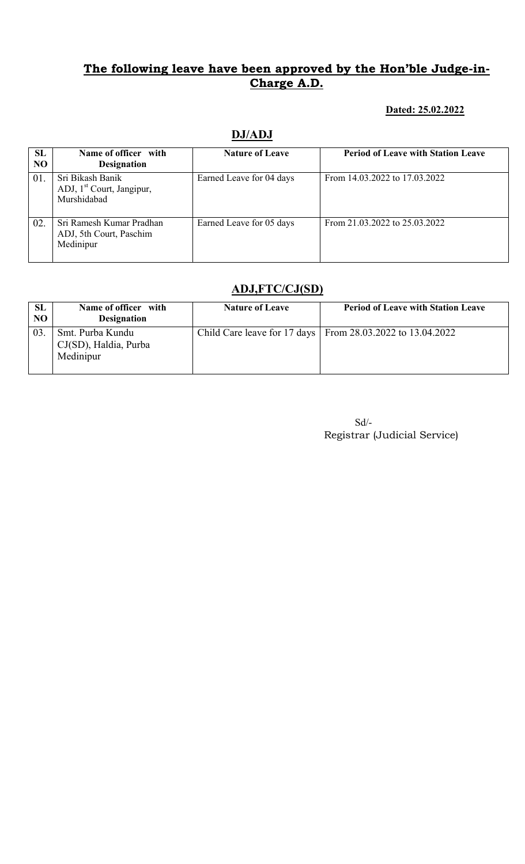#### Dated: 25.02.2022

## DJ/ADJ

| SL<br>NO. | Name of officer with<br><b>Designation</b>                               | <b>Nature of Leave</b>   | <b>Period of Leave with Station Leave</b> |
|-----------|--------------------------------------------------------------------------|--------------------------|-------------------------------------------|
| 01.       | Sri Bikash Banik<br>ADJ, 1 <sup>st</sup> Court, Jangipur,<br>Murshidabad | Earned Leave for 04 days | From 14.03.2022 to 17.03.2022             |
| 02.       | Sri Ramesh Kumar Pradhan<br>ADJ, 5th Court, Paschim<br>Medinipur         | Earned Leave for 05 days | From 21.03.2022 to 25.03.2022             |

### ADJ,FTC/CJ(SD)

| SL<br>NO | Name of officer with<br><b>Designation</b>             | <b>Nature of Leave</b> | <b>Period of Leave with Station Leave</b>                    |
|----------|--------------------------------------------------------|------------------------|--------------------------------------------------------------|
| 03       | Smt. Purba Kundu<br>CJ(SD), Haldia, Purba<br>Medinipur |                        | Child Care leave for 17 days   From 28.03.2022 to 13.04.2022 |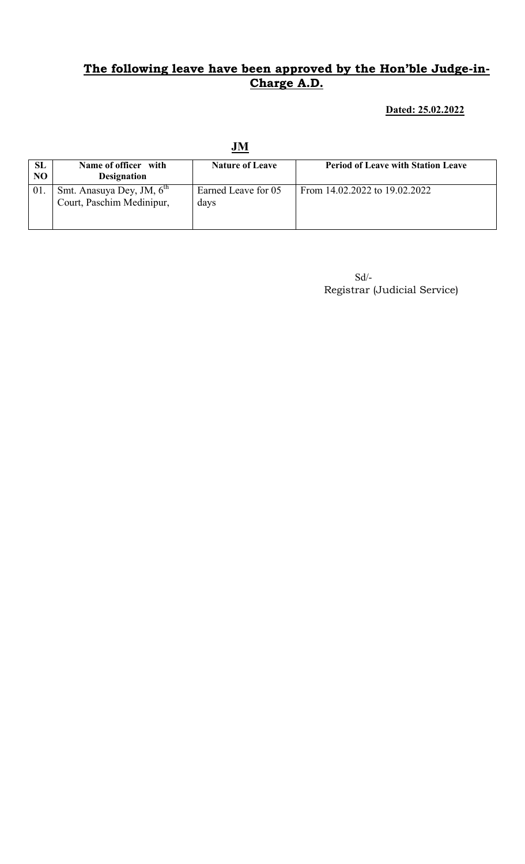#### Dated: 25.02.2022

|                             |                                                                    | JM                          |                                           |
|-----------------------------|--------------------------------------------------------------------|-----------------------------|-------------------------------------------|
| <b>SL</b><br>N <sub>O</sub> | Name of officer with<br><b>Designation</b>                         | <b>Nature of Leave</b>      | <b>Period of Leave with Station Leave</b> |
| 01.                         | Smt. Anasuya Dey, JM, 6 <sup>th</sup><br>Court, Paschim Medinipur, | Earned Leave for 05<br>days | From 14.02.2022 to 19.02.2022             |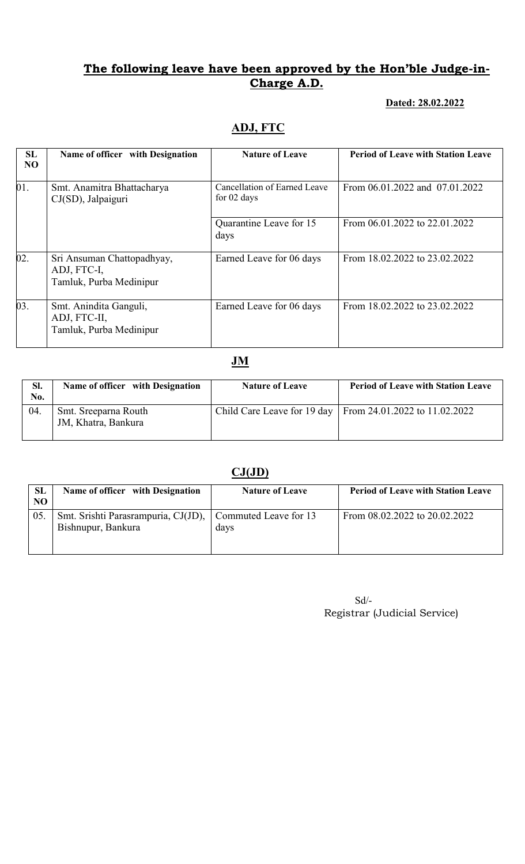#### Dated: 28.02.2022

## ADJ, FTC

| SL<br>N <sub>O</sub> | Name of officer with Designation                                     | <b>Nature of Leave</b>                      | <b>Period of Leave with Station Leave</b> |
|----------------------|----------------------------------------------------------------------|---------------------------------------------|-------------------------------------------|
| 01.                  | Smt. Anamitra Bhattacharya<br>CJ(SD), Jalpaiguri                     | Cancellation of Earned Leave<br>for 02 days | From 06.01.2022 and 07.01.2022            |
|                      |                                                                      | Quarantine Leave for 15<br>days             | From 06.01.2022 to 22.01.2022             |
| 02.                  | Sri Ansuman Chattopadhyay,<br>ADJ, FTC-I,<br>Tamluk, Purba Medinipur | Earned Leave for 06 days                    | From 18.02.2022 to 23.02.2022             |
| 03.                  | Smt. Anindita Ganguli,<br>ADJ, FTC-II,<br>Tamluk, Purba Medinipur    | Earned Leave for 06 days                    | From 18.02.2022 to 23.02.2022             |

**JM** 

| SI.<br>No. | Name of officer with Designation            | <b>Nature of Leave</b> | <b>Period of Leave with Station Leave</b>                   |
|------------|---------------------------------------------|------------------------|-------------------------------------------------------------|
| 04.        | Smt. Sreeparna Routh<br>JM, Khatra, Bankura |                        | Child Care Leave for 19 day   From 24.01.2022 to 11.02.2022 |

# $CJ(JD)$

| SL<br>NO | Name of officer with Designation                          | <b>Nature of Leave</b>               | <b>Period of Leave with Station Leave</b> |
|----------|-----------------------------------------------------------|--------------------------------------|-------------------------------------------|
| 05.      | Smt. Srishti Parasrampuria, CJ(JD),<br>Bishnupur, Bankura | $\Box$ Commuted Leave for 13<br>days | From 08.02.2022 to 20.02.2022             |

| $Sd/-$                       |
|------------------------------|
| Registrar (Judicial Service) |